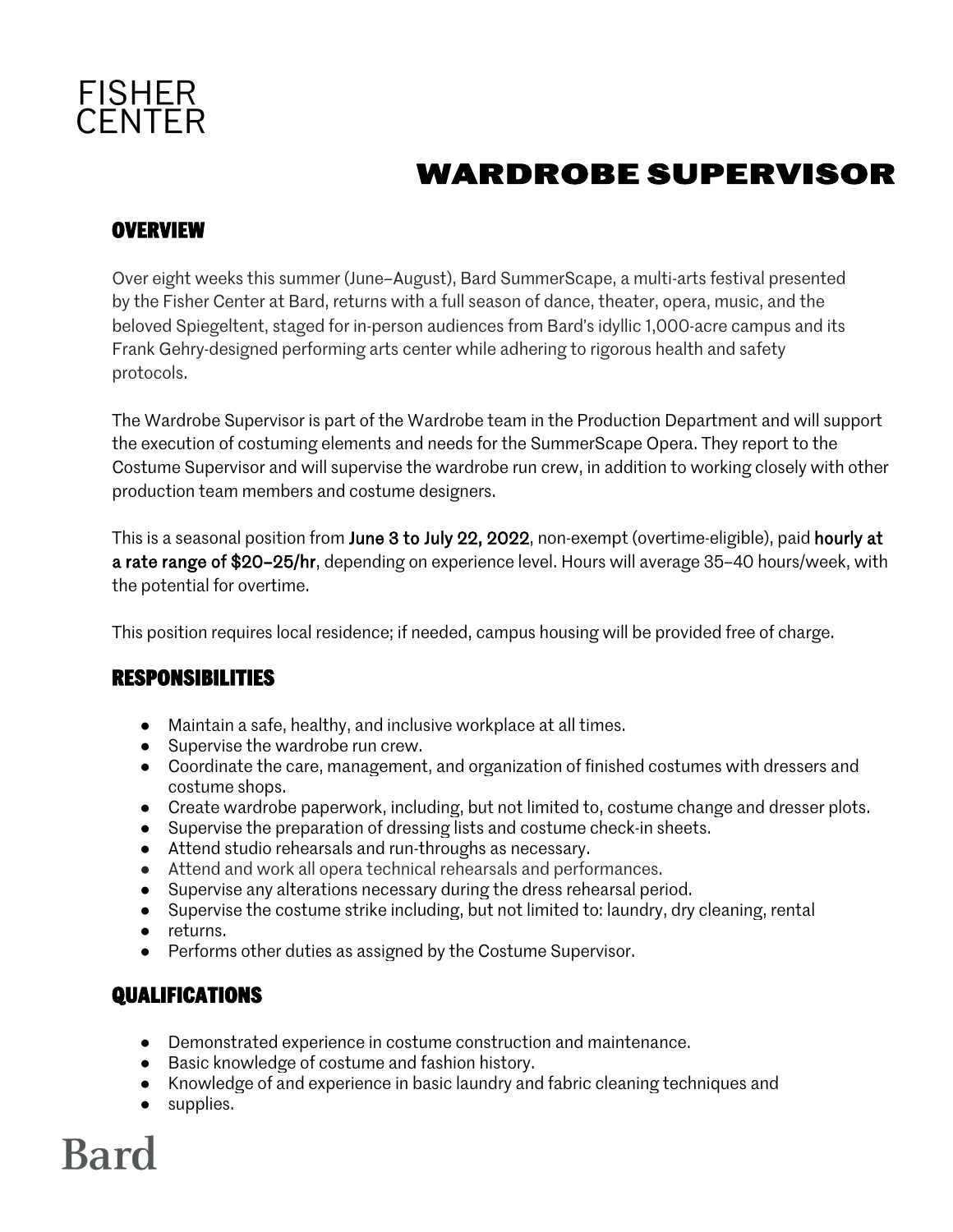

# **WARDROBE SUPERVISOR**

#### **OVERVIEW**

Over eight weeks this summer (June–August), Bard SummerScape, a multi-arts festival presented by the Fisher Center at Bard, returns with a full season of dance, theater, opera, music, and the beloved Spiegeltent, staged for in-person audiences from Bard's idyllic 1,000-acre campus and its Frank Gehry-designed performing arts center while adhering to rigorous health and safety protocols.

The Wardrobe Supervisor is part of the Wardrobe team in the Production Department and will support the execution of costuming elements and needs for the SummerScape Opera. They report to the Costume Supervisor and will supervise the wardrobe run crew, in addition to working closely with other production team members and costume designers.

This is a seasonal position from June 3 to July 22, 2022, non-exempt (overtime-eligible), paid hourly at a rate range of \$20–25/hr, depending on experience level. Hours will average 35–40 hours/week, with the potential for overtime.

This position requires local residence; if needed, campus housing will be provided free of charge.

#### **RESPONSIBILITIES**

- Maintain a safe, healthy, and inclusive workplace at all times.
- Supervise the wardrobe run crew.
- Coordinate the care, management, and organization of finished costumes with dressers and costume shops.
- Create wardrobe paperwork, including, but not limited to, costume change and dresser plots.
- Supervise the preparation of dressing lists and costume check-in sheets.
- Attend studio rehearsals and run-throughs as necessary.
- Attend and work all opera technical rehearsals and performances.
- Supervise any alterations necessary during the dress rehearsal period.
- Supervise the costume strike including, but not limited to: laundry, dry cleaning, rental
- returns.
- Performs other duties as assigned by the Costume Supervisor.

### **QUALIFICATIONS**

- Demonstrated experience in costume construction and maintenance.
- Basic knowledge of costume and fashion history.
- Knowledge of and experience in basic laundry and fabric cleaning techniques and
- supplies.

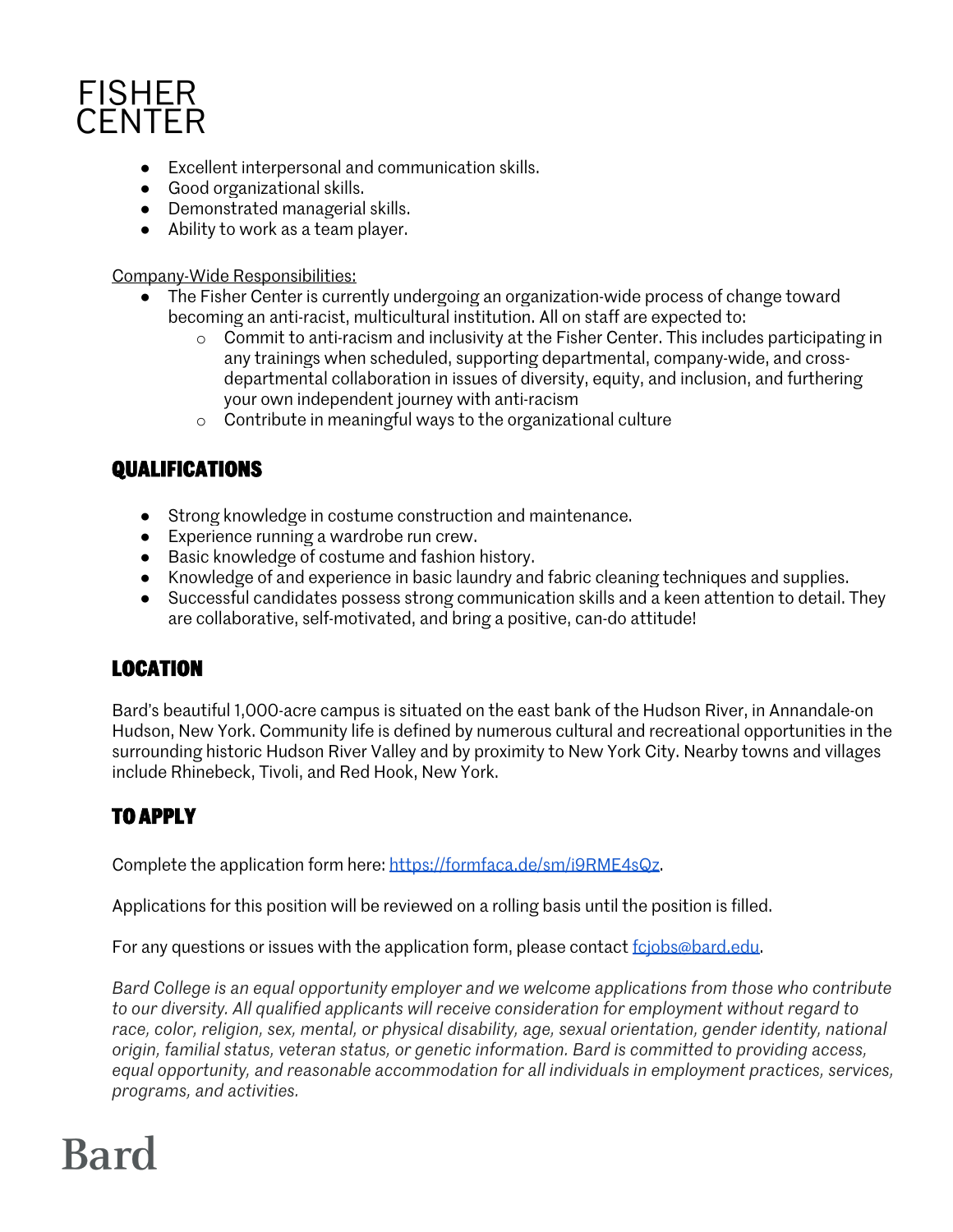## **FISHER CENTER**

- Excellent interpersonal and communication skills.
- Good organizational skills.
- Demonstrated managerial skills.
- Ability to work as a team player.

Company-Wide Responsibilities:

- The Fisher Center is currently undergoing an organization-wide process of change toward becoming an anti-racist, multicultural institution. All on staff are expected to:
	- $\circ$  Commit to anti-racism and inclusivity at the Fisher Center. This includes participating in any trainings when scheduled, supporting departmental, company-wide, and crossdepartmental collaboration in issues of diversity, equity, and inclusion, and furthering your own independent journey with anti-racism
	- o Contribute in meaningful ways to the organizational culture

### **QUALIFICATIONS**

- Strong knowledge in costume construction and maintenance.
- Experience running a wardrobe run crew.
- Basic knowledge of costume and fashion history.
- Knowledge of and experience in basic laundry and fabric cleaning techniques and supplies.
- Successful candidates possess strong communication skills and a keen attention to detail. They are collaborative, self-motivated, and bring a positive, can-do attitude!

### **LOCATION**

Bard's beautiful 1,000-acre campus is situated on the east bank of the Hudson River, in Annandale-on Hudson, New York. Community life is defined by numerous cultural and recreational opportunities in the surrounding historic Hudson River Valley and by proximity to New York City. Nearby towns and villages include Rhinebeck, Tivoli, and Red Hook, New York.

## **TO APPLY**

Complete the application form here: https://formfaca.de/sm/i9RME4sQz.

Applications for this position will be reviewed on a rolling basis until the position is filled.

For any questions or issues with the application form, please contact fcjobs@bard.edu.

*Bard College is an equal opportunity employer and we welcome applications from those who contribute to our diversity. All qualified applicants will receive consideration for employment without regard to race, color, religion, sex, mental, or physical disability, age, sexual orientation, gender identity, national origin, familial status, veteran status, or genetic information. Bard is committed to providing access, equal opportunity, and reasonable accommodation for all individuals in employment practices, services, programs, and activities.*

# **Bard**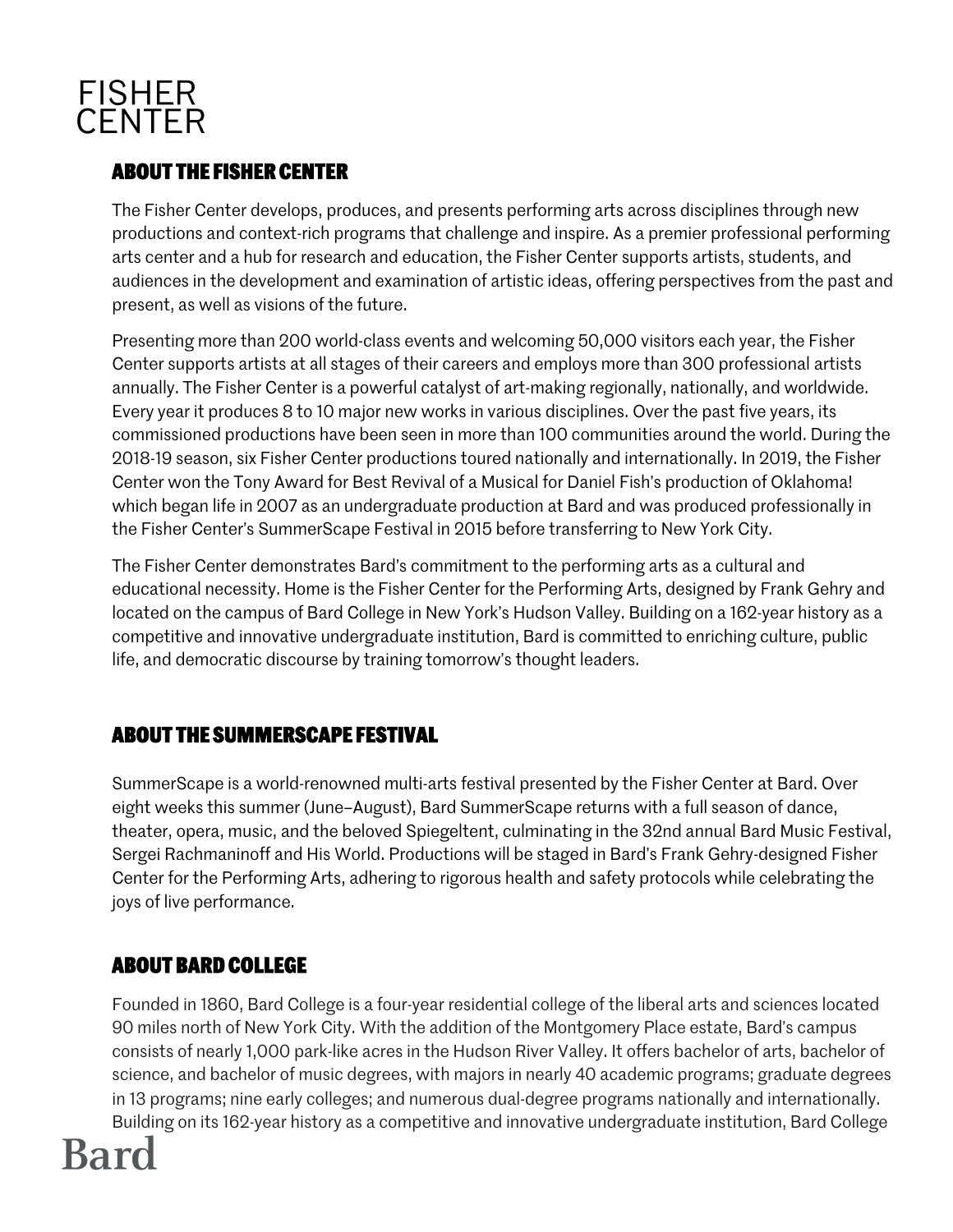## **FISHER CENTER**

### **ABOUT THE FISHER CENTER**

The Fisher Center develops, produces, and presents performing arts across disciplines through new productions and context-rich programs that challenge and inspire. As a premier professional performing arts center and a hub for research and education, the Fisher Center supports artists, students, and audiences in the development and examination of artistic ideas, offering perspectives from the past and present, as well as visions of the future.

Presenting more than 200 world-class events and welcoming 50,000 visitors each year, the Fisher Center supports artists at all stages of their careers and employs more than 300 professional artists annually. The Fisher Center is a powerful catalyst of art-making regionally, nationally, and worldwide. Every year it produces 8 to 10 major new works in various disciplines. Over the past five years, its commissioned productions have been seen in more than 100 communities around the world. During the 2018-19 season, six Fisher Center productions toured nationally and internationally. In 2019, the Fisher Center won the Tony Award for Best Revival of a Musical for Daniel Fish's production of Oklahoma! which began life in 2007 as an undergraduate production at Bard and was produced professionally in the Fisher Center's SummerScape Festival in 2015 before transferring to New York City.

The Fisher Center demonstrates Bard's commitment to the performing arts as a cultural and educational necessity. Home is the Fisher Center for the Performing Arts, designed by Frank Gehry and located on the campus of Bard College in New York's Hudson Valley. Building on a 162-year history as a competitive and innovative undergraduate institution, Bard is committed to enriching culture, public life, and democratic discourse by training tomorrow's thought leaders.

### **ABOUT THE SUMMERSCAPE FESTIVAL**

SummerScape is a world-renowned multi-arts festival presented by the Fisher Center at Bard. Over eight weeks this summer (June–August), Bard SummerScape returns with a full season of dance, theater, opera, music, and the beloved Spiegeltent, culminating in the 32nd annual Bard Music Festival, Sergei Rachmaninoff and His World. Productions will be staged in Bard's Frank Gehry-designed Fisher Center for the Performing Arts, adhering to rigorous health and safety protocols while celebrating the joys of live performance.

### **ABOUT BARD COLLEGE**

Founded in 1860, Bard College is a four-year residential college of the liberal arts and sciences located 90 miles north of New York City. With the addition of the Montgomery Place estate, Bard's campus consists of nearly 1,000 park-like acres in the Hudson River Valley. It offers bachelor of arts, bachelor of science, and bachelor of music degrees, with majors in nearly 40 academic programs; graduate degrees in 13 programs; nine early colleges; and numerous dual-degree programs nationally and internationally. Building on its 162-year history as a competitive and innovative undergraduate institution, Bard College

# **Bard**